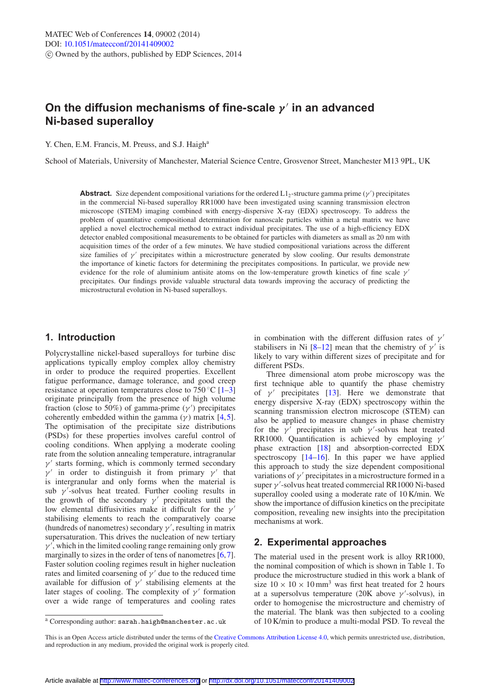# **On the diffusion mechanisms of fine-scale** *γ* **in an advanced Ni-based superalloy**

Y. Chen, E.M. Francis, M. Preuss, and S.J. Haigh<sup>a</sup>

School of Materials, University of Manchester, Material Science Centre, Grosvenor Street, Manchester M13 9PL, UK

**Abstract.** Size dependent compositional variations for the ordered  $L1_2$ -structure gamma prime  $(\gamma')$  precipitates in the commercial Ni-based superalloy RR1000 have been investigated using scanning transmission electron microscope (STEM) imaging combined with energy-dispersive X-ray (EDX) spectroscopy. To address the problem of quantitative compositional determination for nanoscale particles within a metal matrix we have applied a novel electrochemical method to extract individual precipitates. The use of a high-efficiency EDX detector enabled compositional measurements to be obtained for particles with diameters as small as 20 nm with acquisition times of the order of a few minutes. We have studied compositional variations across the different size families of  $\gamma'$  precipitates within a microstructure generated by slow cooling. Our results demonstrate the importance of kinetic factors for determining the precipitates compositions. In particular, we provide new evidence for the role of aluminium antisite atoms on the low-temperature growth kinetics of fine scale  $\gamma'$ precipitates. Our findings provide valuable structural data towards improving the accuracy of predicting the microstructural evolution in Ni-based superalloys.

# **1. Introduction**

Polycrystalline nickel-based superalloys for turbine disc applications typically employ complex alloy chemistry in order to produce the required properties. Excellent fatigue performance, damage tolerance, and good creep resistance at operation temperatures close to  $750^{\circ}$ C [\[1](#page-3-0)[–3\]](#page-3-1) originate principally from the presence of high volume fraction (close to 50%) of gamma-prime  $(\gamma')$  precipitates coherently embedded within the gamma ( $\gamma$ ) matrix [\[4](#page-3-2),[5\]](#page-3-3). The optimisation of the precipitate size distributions (PSDs) for these properties involves careful control of cooling conditions. When applying a moderate cooling rate from the solution annealing temperature, intragranular  $\nu'$  starts forming, which is commonly termed secondary  $\nu'$  in order to distinguish it from primary  $\nu'$  that is intergranular and only forms when the material is sub  $\gamma'$ -solvus heat treated. Further cooling results in the growth of the secondary  $\gamma'$  precipitates until the low elemental diffusivities make it difficult for the  $\gamma'$ stabilising elements to reach the comparatively coarse (hundreds of nanometres) secondary  $\gamma'$ , resulting in matrix supersaturation. This drives the nucleation of new tertiary  $\gamma'$ , which in the limited cooling range remaining only grow marginally to sizes in the order of tens of nanometres [\[6](#page-3-4),[7\]](#page-3-5). Faster solution cooling regimes result in higher nucleation rates and limited coarsening of  $\gamma'$  due to the reduced time available for diffusion of  $\nu'$  stabilising elements at the later stages of cooling. The complexity of  $\nu'$  formation over a wide range of temperatures and cooling rates

in combination with the different diffusion rates of  $\nu'$ stabilisers in Ni [\[8](#page-3-6)[–12\]](#page-3-7) mean that the chemistry of  $\nu'$  is likely to vary within different sizes of precipitate and for different PSDs.

Three dimensional atom probe microscopy was the first technique able to quantify the phase chemistry of  $\gamma'$  precipitates [\[13](#page-3-8)]. Here we demonstrate that energy dispersive X-ray (EDX) spectroscopy within the scanning transmission electron microscope (STEM) can also be applied to measure changes in phase chemistry for the  $\gamma'$  precipitates in sub  $\gamma'$ -solvus heat treated RR1000. Quantification is achieved by employing  $\gamma'$ phase extraction [\[18](#page-3-9)] and absorption-corrected EDX spectroscopy [\[14](#page-3-10)[–16](#page-3-11)]. In this paper we have applied this approach to study the size dependent compositional variations of  $\gamma'$  precipitates in a microstructure formed in a super  $\gamma'$ -solvus heat treated commercial RR1000 Ni-based superalloy cooled using a moderate rate of 10 K/min. We show the importance of diffusion kinetics on the precipitate composition, revealing new insights into the precipitation mechanisms at work.

## **2. Experimental approaches**

The material used in the present work is alloy RR1000, the nominal composition of which is shown in Table 1. To produce the microstructure studied in this work a blank of size  $10 \times 10 \times 10$  mm<sup>3</sup> was first heat treated for 2 hours at a supersolvus temperature (20K above  $\gamma'$ -solvus), in order to homogenise the microstructure and chemistry of the material. The blank was then subjected to a cooling of 10 K/min to produce a multi-modal PSD. To reveal the

<sup>a</sup> Corresponding author: sarah.haigh@manchester.ac.uk

This is an Open Access article distributed under the terms of the [Creative Commons Attribution License 4.0,](http://creativecommons.org/licenses/by/4.0/) which permits unrestricted use, distribution, and reproduction in any medium, provided the original work is properly cited.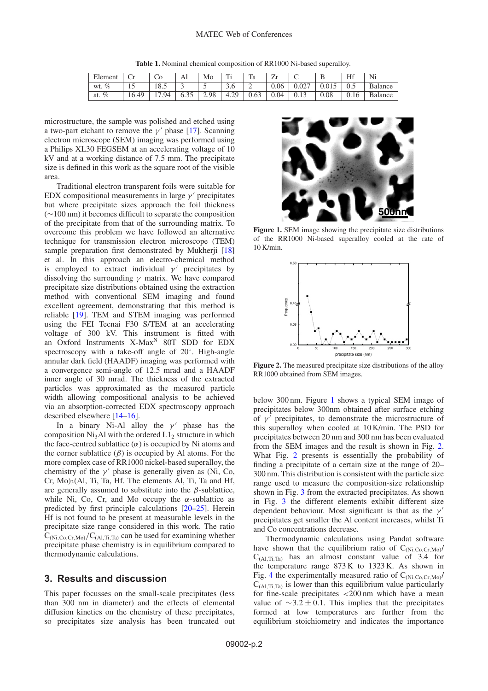**Table 1.** Nominal chemical composition of RR1000 Ni-based superalloy.

| Element     | $\sim$ | C0    | Al   | Mo   | т:             | Ta   | $\overline{\phantom{a}}$<br>↵ | $\sim$<br>◡ | ໋     | Hf   | Ni             |
|-------------|--------|-------|------|------|----------------|------|-------------------------------|-------------|-------|------|----------------|
| $\%$<br>wt. | . .    | 18.5  |      |      | $\sim$<br>J.V  | ∼    | 0.06                          | 0.027       | 0.015 | 0.5  | <b>Balance</b> |
| $\%$<br>at. | 16.49  | 17.94 | 6.35 | 2.98 | .29<br>$-4.2.$ | 0.63 | 0.04                          | 0.13        | 0.08  | 0.16 | Balance        |

microstructure, the sample was polished and etched using a two-part etchant to remove the  $\gamma'$  phase [\[17](#page-3-12)]. Scanning electron microscope (SEM) imaging was performed using a Philips XL30 FEGSEM at an accelerating voltage of 10 kV and at a working distance of 7.5 mm. The precipitate size is defined in this work as the square root of the visible area.

Traditional electron transparent foils were suitable for EDX compositional measurements in large  $\gamma'$  precipitates but where precipitate sizes approach the foil thickness (∼100 nm) it becomes difficult to separate the composition of the precipitate from that of the surrounding matrix. To overcome this problem we have followed an alternative technique for transmission electron microscope (TEM) sample preparation first demonstrated by Mukherji [\[18\]](#page-3-9) et al. In this approach an electro-chemical method is employed to extract individual  $\gamma'$  precipitates by dissolving the surrounding  $\gamma$  matrix. We have compared precipitate size distributions obtained using the extraction method with conventional SEM imaging and found excellent agreement, demonstrating that this method is reliable [\[19\]](#page-3-13). TEM and STEM imaging was performed using the FEI Tecnai F30 S/TEM at an accelerating voltage of 300 kV. This instrument is fitted with an Oxford Instruments  $X$ -Max<sup>N</sup> 80T SDD for EDX spectroscopy with a take-off angle of 20◦. High-angle annular dark field (HAADF) imaging was performed with a convergence semi-angle of 12.5 mrad and a HAADF inner angle of 30 mrad. The thickness of the extracted particles was approximated as the measured particle width allowing compositional analysis to be achieved via an absorption-corrected EDX spectroscopy approach described elsewhere [\[14](#page-3-10)[–16](#page-3-11)].

In a binary Ni-Al alloy the  $\gamma'$  phase has the composition Ni<sub>3</sub>Al with the ordered  $L1<sub>2</sub>$  structure in which the face-centred sublattice  $(\alpha)$  is occupied by Ni atoms and the corner sublattice  $(\beta)$  is occupied by Al atoms. For the more complex case of RR1000 nickel-based superalloy, the chemistry of the  $\gamma'$  phase is generally given as (Ni, Co,  $Cr, Mo$ <sub>3</sub>(Al, Ti, Ta, Hf. The elements Al, Ti, Ta and Hf, are generally assumed to substitute into the  $\beta$ -sublattice, while Ni, Co, Cr, and Mo occupy the  $\alpha$ -sublattice as predicted by first principle calculations [\[20](#page-3-14)[–25](#page-4-0)]. Herein Hf is not found to be present at measurable levels in the precipitate size range considered in this work. The ratio  $C_{\text{(Ni, C_0, Cr, Mo)}}/C_{\text{(Al,Ti,Ta)}}$  can be used for examining whether precipitate phase chemistry is in equilibrium compared to thermodynamic calculations.

# **3. Results and discussion**

This paper focusses on the small-scale precipitates (less than 300 nm in diameter) and the effects of elemental diffusion kinetics on the chemistry of these precipitates, so precipitates size analysis has been truncated out

<span id="page-1-0"></span>

**Figure 1.** SEM image showing the precipitate size distributions of the RR1000 Ni-based superalloy cooled at the rate of 10 K/min.

<span id="page-1-1"></span>

**Figure 2.** The measured precipitate size distributions of the alloy RR1000 obtained from SEM images.

below 300 nm. Figure [1](#page-1-0) shows a typical SEM image of precipitates below 300nm obtained after surface etching of  $\gamma'$  precipitates, to demonstrate the microstructure of this superalloy when cooled at 10 K/min. The PSD for precipitates between 20 nm and 300 nm has been evaluated from the SEM images and the result is shown in Fig. [2.](#page-1-1) What Fig. [2](#page-1-1) presents is essentially the probability of finding a precipitate of a certain size at the range of 20– 300 nm. This distribution is consistent with the particle size range used to measure the composition-size relationship shown in Fig. [3](#page-2-0) from the extracted precipitates. As shown in Fig. [3](#page-2-0) the different elements exhibit different size dependent behaviour. Most significant is that as the  $\gamma'$ precipitates get smaller the Al content increases, whilst Ti and Co concentrations decrease.

Thermodynamic calculations using Pandat software have shown that the equilibrium ratio of  $C_{(Ni,Co,Cr,Mo)}$ /  $C_{(Al,Ti,Ta)}$  has an almost constant value of 3.4 for the temperature range 873 K to 1323 K. As shown in Fig. [4](#page-2-1) the experimentally measured ratio of  $C_{(Ni,C_0,Cr,M_0)}$  $C_{(A1\text{Ti}~Ta)}$  is lower than this equilibrium value particularly for fine-scale precipitates  $\langle 200 \text{ nm} \rangle$  which have a mean value of  $\sim$ 3.2 ± 0.1. This implies that the precipitates formed at low temperatures are further from the equilibrium stoichiometry and indicates the importance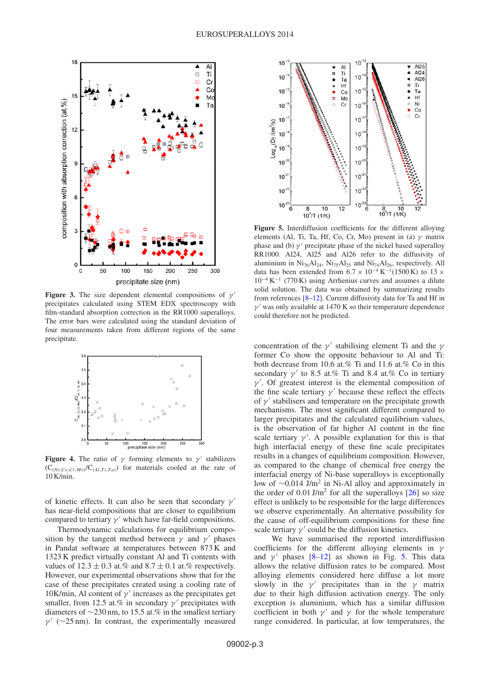<span id="page-2-0"></span>

<span id="page-2-1"></span>**Figure 3.** The size dependent elemental compositions of  $\gamma'$ precipitates calculated using STEM EDX spectroscopy with film-standard absorption correction in the RR1000 superalloys. The error bars were calculated using the standard deviation of four measurements taken from different regions of the same precipitate.



**Figure 4.** The ratio of  $\gamma$  forming elements to  $\gamma'$  stabilizers  $(C_{(Ni, Co, Cr, Mo)}/C_{(Al, Ti, Ta)})$  for materials cooled at the rate of 10 K/min.

of kinetic effects. It can also be seen that secondary  $\nu'$ has near-field compositions that are closer to equilibrium compared to tertiary  $\gamma'$  which have far-field compositions.

Thermodynamic calculations for equilibrium composition by the tangent method between  $\gamma$  and  $\gamma'$  phases in Pandat software at temperatures between 873 K and 1323 K predict virtually constant Al and Ti contents with values of  $12.3 \pm 0.3$  at.% and  $8.7 \pm 0.1$  at.% respectively. However, our experimental observations show that for the case of these precipitates created using a cooling rate of 10K/min, Al content of  $\gamma'$  increases as the precipitates get smaller, from 12.5 at.% in secondary  $\gamma'$  precipitates with diameters of ∼230 nm, to 15.5 at.% in the smallest tertiary  $\gamma'$  (∼25 nm). In contrast, the experimentally measured

<span id="page-2-2"></span>

**Figure 5.** Interdiffusion coefficients for the different alloying elements (Al, Ti, Ta, Hf, Co, Cr, Mo) present in (a)  $\gamma$  matrix phase and (b)  $\gamma'$  precipitate phase of the nickel based superalloy RR1000. Al24, Al25 and Al26 refer to the diffusivity of aluminium in  $Ni<sub>76</sub>Al<sub>24</sub>$ ,  $Ni<sub>75</sub>Al<sub>25</sub>$  and  $Ni<sub>74</sub>Al<sub>26</sub>$ , respectively. All data has been extended from  $6.7 \times 10^{-4}$  K<sup>-1</sup>(1500 K) to 13  $\times$  $10^{-4}$  K<sup>-1</sup> (770 K) using Arrhenius curves and assumes a dilute solid solution. The data was obtained by summarizing results from references [\[8](#page-3-6)[–12\]](#page-3-7). Current diffusivity data for Ta and Hf in  $\gamma'$  was only available at 1470 K so their temperature dependence could therefore not be predicted.

concentration of the  $\gamma'$  stabilising element Ti and the  $\gamma$ former Co show the opposite behaviour to Al and Ti: both decrease from 10.6 at.% Ti and 11.6 at.% Co in this secondary  $\gamma'$  to 8.5 at.% Ti and 8.4 at.% Co in tertiary  $\gamma'$ . Of greatest interest is the elemental composition of the fine scale tertiary  $\gamma'$  because these reflect the effects of  $\nu'$  stabilisers and temperature on the precipitate growth mechanisms. The most significant different compared to larger precipitates and the calculated equilibrium values, is the observation of far higher Al content in the fine scale tertiary  $\gamma'$ . A possible explanation for this is that high interfacial energy of these fine scale precipitates results in a changes of equilibrium composition. However, as compared to the change of chemical free energy the interfacial energy of Ni-base superalloys is exceptionally low of <sup>∼</sup>0.014 J/m2 in Ni-Al alloy and approximately in the order of  $0.01 \text{ J/m}^2$  for all the superalloys  $[26]$  so size effect is unlikely to be responsible for the large differences we observe experimentally. An alternative possibility for the cause of off-equilibrium compositions for these fine scale tertiary  $\gamma'$  could be the diffusion kinetics.

We have summarised the reported interdiffusion coefficients for the different alloying elements in  $\gamma$ and  $\gamma'$  phases [\[8](#page-3-6)[–12](#page-3-7)] as shown in Fig. [5.](#page-2-2) This data allows the relative diffusion rates to be compared. Most alloying elements considered here diffuse a lot more slowly in the  $\gamma'$  precipitates than in the  $\gamma$  matrix due to their high diffusion activation energy. The only exception is aluminium, which has a similar diffusion coefficient in both  $\gamma'$  and  $\gamma$  for the whole temperature range considered. In particular, at low temperatures, the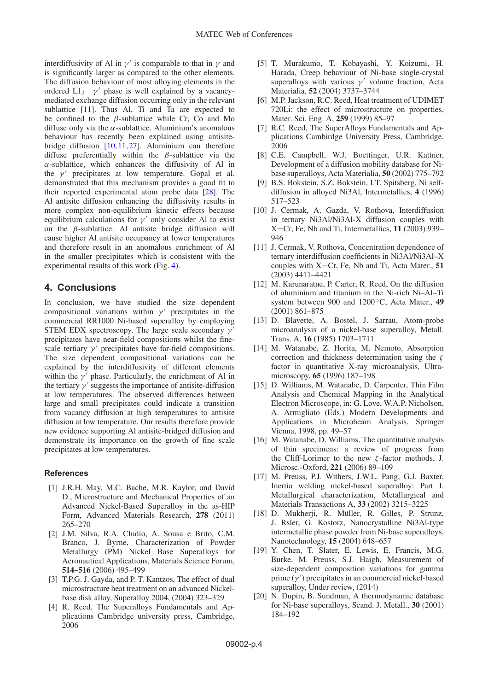interdiffusivity of Al in  $\gamma'$  is comparable to that in  $\gamma$  and is significantly larger as compared to the other elements. The diffusion behaviour of most alloying elements in the ordered  $L1_2$  γ' phase is well explained by a vacancymediated exchange diffusion occurring only in the relevant sublattice [\[11\]](#page-3-15). Thus Al, Ti and Ta are expected to be confined to the  $\beta$ -sublattice while Cr, Co and Mo diffuse only via the  $\alpha$ -sublattice. Aluminium's anomalous behaviour has recently been explained using antisitebridge diffusion [\[10](#page-3-16),[11,](#page-3-15)[27](#page-4-2)]. Aluminium can therefore diffuse preferentially within the  $\beta$ -sublattice via the  $\alpha$ -sublattice, which enhances the diffusivity of Al in the  $\gamma'$  precipitates at low temperature. Gopal et al. demonstrated that this mechanism provides a good fit to their reported experimental atom probe data [\[28\]](#page-4-3). The Al antisite diffusion enhancing the diffusivity results in more complex non-equilibrium kinetic effects because equilibrium calculations for  $\gamma'$  only consider Al to exist on the  $\beta$ -sublattice. Al antisite bridge diffusion will cause higher Al antisite occupancy at lower temperatures and therefore result in an anomalous enrichment of Al in the smaller precipitates which is consistent with the experimental results of this work (Fig. [4\)](#page-2-1).

### **4. Conclusions**

In conclusion, we have studied the size dependent compositional variations within  $\gamma'$  precipitates in the commercial RR1000 Ni-based superalloy by employing STEM EDX spectroscopy. The large scale secondary  $\gamma'$ precipitates have near-field compositions whilst the finescale tertiary  $\gamma'$  precipitates have far-field compositions. The size dependent compositional variations can be explained by the interdiffusivity of different elements within the  $\gamma'$  phase. Particularly, the enrichment of Al in the tertiary  $\gamma'$  suggests the importance of antisite-diffusion at low temperatures. The observed differences between large and small precipitates could indicate a transition from vacancy diffusion at high temperatures to antisite diffusion at low temperature. Our results therefore provide new evidence supporting Al antisite-bridged diffusion and demonstrate its importance on the growth of fine scale precipitates at low temperatures.

#### <span id="page-3-0"></span>**References**

- [1] J.R.H. May, M.C. Bache, M.R. Kaylor, and David D., Microstructure and Mechanical Properties of an Advanced Nickel-Based Superalloy in the as-HIP Form, Advanced Materials Research, **278** (2011) 265–270
- [2] J.M. Silva, R.A. Cludio, A. Sousa e Brito, C.M. Branco, J. Byrne, Characterization of Powder Metallurgy (PM) Nickel Base Superalloys for Aeronautical Applications, Materials Science Forum, **514–516** (2006) 495–499
- <span id="page-3-1"></span>[3] T.P.G. J. Gayda, and P. T. Kantzos, The effect of dual microstructure heat treatment on an advanced Nickelbase disk alloy, Superalloy 2004, (2004) 323–329
- <span id="page-3-2"></span>[4] R. Reed, The Superalloys Fundamentals and Applications Cambridge university press, Cambridge, 2006
- <span id="page-3-3"></span>[5] T. Murakumo, T. Kobayashi, Y. Koizumi, H. Harada, Creep behaviour of Ni-base single-crystal superalloys with various  $\gamma'$  volume fraction, Acta Materialia, **52** (2004) 3737–3744
- <span id="page-3-4"></span>[6] M.P. Jackson, R.C. Reed, Heat treatment of UDIMET 720Li: the effect of microstructure on properties, Mater. Sci. Eng. A, **259** (1999) 85–97
- <span id="page-3-5"></span>[7] R.C. Reed, The SuperAlloys Fundamentals and Applications Cambirdge University Press, Cambridge, 2006
- <span id="page-3-6"></span>[8] C.E. Campbell, W.J. Boettinger, U.R. Kattner, Development of a diffusion mobility database for Nibase superalloys, Acta Materialia, **50** (2002) 775–792
- [9] B.S. Bokstein, S.Z. Bokstein, I.T. Spitsberg, Ni selfdiffusion in alloyed Ni3Al, Intermetallics, **4** (1996) 517–523
- <span id="page-3-16"></span>[10] J. Cermak, A. Gazda, V. Rothova, Interdiffusion in ternary Ni3Al/Ni3Al-X diffusion couples with X=Cr, Fe, Nb and Ti, Intermetallics, **11** (2003) 939– 946
- <span id="page-3-15"></span>[11] J. Cermak, V. Rothova, Concentration dependence of ternary interdiffusion coefficients in Ni3Al/Ni3Al–X couples with X=Cr, Fe, Nb and Ti, Acta Mater., **51** (2003) 4411–4421
- <span id="page-3-7"></span>[12] M. Karunaratne, P. Carter, R. Reed, On the diffusion of aluminium and titanium in the Ni-rich Ni–Al–Ti system between 900 and 1200 ◦C, Acta Mater., **49** (2001) 861–875
- <span id="page-3-8"></span>[13] D. Blavette, A. Bostel, J. Sarrau, Atom-probe microanalysis of a nickel-base superalloy, Metall. Trans. A, **16** (1985) 1703–1711
- <span id="page-3-10"></span>[14] M. Watanabe, Z. Horita, M. Nemoto, Absorption correction and thickness determination using the  $\zeta$ factor in quantitative X-ray microanalysis, Ultramicroscopy, **65** (1996) 187–198
- [15] D. Williams, M. Watanabe, D. Carpenter, Thin Film Analysis and Chemical Mapping in the Analytical Electron Microscope, in: G. Love, W.A.P. Nicholson, A. Armigliato (Eds.) Modern Developments and Applications in Microbeam Analysis, Springer Vienna, 1998, pp. 49–57
- <span id="page-3-11"></span>[16] M. Watanabe, D. Williams, The quantitative analysis of thin specimens: a review of progress from the Cliff-Lorimer to the new  $\zeta$ -factor methods, J. Microsc.-Oxford, **221** (2006) 89–109
- <span id="page-3-12"></span>[17] M. Preuss, P.J. Withers, J.W.L. Pang, G.J. Baxter, Inertia welding nickel-based superalloy: Part I. Metallurgical characterization, Metallurgical and Materials Transactions A, **33** (2002) 3215–3225
- <span id="page-3-9"></span>[18] D. Mukherji, R. Müller, R. Gilles, P. Strunz, J. Rsler, G. Kostorz, Nanocrystalline Ni3Al-type intermetallic phase powder from Ni-base superalloys, Nanotechnology, **15** (2004) 648–657
- <span id="page-3-13"></span>[19] Y. Chen, T. Slater, E. Lewis, E. Francis, M.G. Burke, M. Preuss, S.J. Haigh, Measurement of size-dependent composition variations for gamma prime  $(\gamma')$  precipitates in an commercial nickel-based superalloy, Under review, (2014)
- <span id="page-3-14"></span>[20] N. Dupin, B. Sundman, A thermodynamic database for Ni-base superalloys, Scand. J. Metall., **30** (2001) 184–192